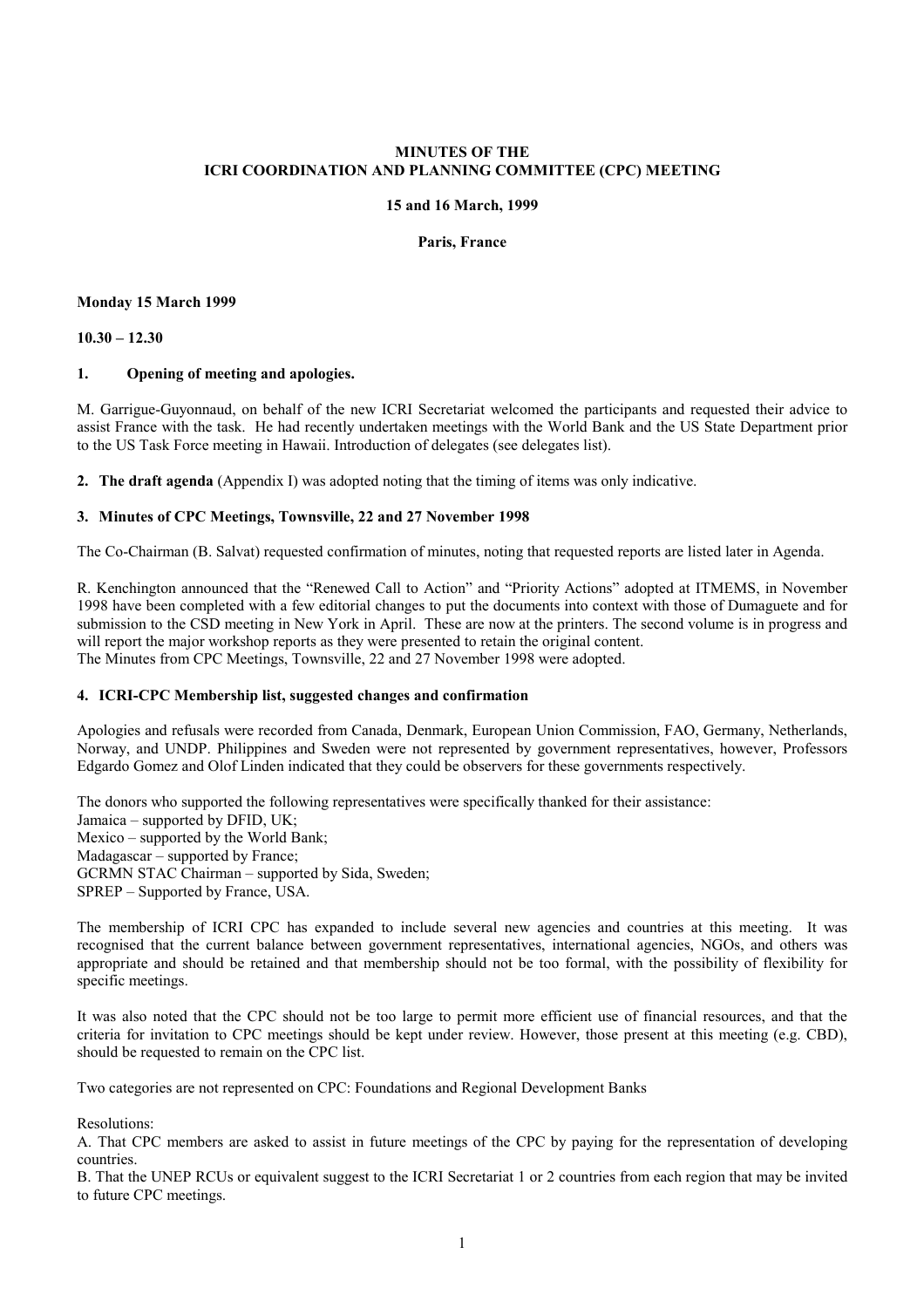# **MINUTES OF THE ICRI COORDINATION AND PLANNING COMMITTEE (CPC) MEETING**

#### **15 and 16 March, 1999**

#### **Paris, France**

#### **Monday 15 March 1999**

#### $10.30 - 12.30$

### **1. Opening of meeting and apologies.**

M. Garrigue-Guyonnaud, on behalf of the new ICRI Secretariat welcomed the participants and requested their advice to assist France with the task. He had recently undertaken meetings with the World Bank and the US State Department prior to the US Task Force meeting in Hawaii. Introduction of delegates (see delegates list).

**2. The draft agenda** (Appendix I) was adopted noting that the timing of items was only indicative.

#### **3. Minutes of CPC Meetings, Townsville, 22 and 27 November 1998**

The Co-Chairman (B. Salvat) requested confirmation of minutes, noting that requested reports are listed later in Agenda.

R. Kenchington announced that the "Renewed Call to Action" and "Priority Actions" adopted at ITMEMS, in November 1998 have been completed with a few editorial changes to put the documents into context with those of Dumaguete and for submission to the CSD meeting in New York in April. These are now at the printers. The second volume is in progress and will report the major workshop reports as they were presented to retain the original content. The Minutes from CPC Meetings, Townsville, 22 and 27 November 1998 were adopted.

# **4. ICRI-CPC Membership list, suggested changes and confirmation**

Apologies and refusals were recorded from Canada, Denmark, European Union Commission, FAO, Germany, Netherlands, Norway, and UNDP. Philippines and Sweden were not represented by government representatives, however, Professors Edgardo Gomez and Olof Linden indicated that they could be observers for these governments respectively.

The donors who supported the following representatives were specifically thanked for their assistance: Jamaica  $-$  supported by DFID, UK; Mexico  $-$  supported by the World Bank: Madagascar - supported by France; GCRMN STAC Chairman - supported by Sida, Sweden;  $SPREP - Supported by France, USA.$ 

The membership of ICRI CPC has expanded to include several new agencies and countries at this meeting. It was recognised that the current balance between government representatives, international agencies, NGOs, and others was appropriate and should be retained and that membership should not be too formal, with the possibility of flexibility for specific meetings.

It was also noted that the CPC should not be too large to permit more efficient use of financial resources, and that the criteria for invitation to CPC meetings should be kept under review. However, those present at this meeting (e.g. CBD), should be requested to remain on the CPC list.

Two categories are not represented on CPC: Foundations and Regional Development Banks

Resolutions:

A. That CPC members are asked to assist in future meetings of the CPC by paying for the representation of developing countries.

B. That the UNEP RCUs or equivalent suggest to the ICRI Secretariat 1 or 2 countries from each region that may be invited to future CPC meetings.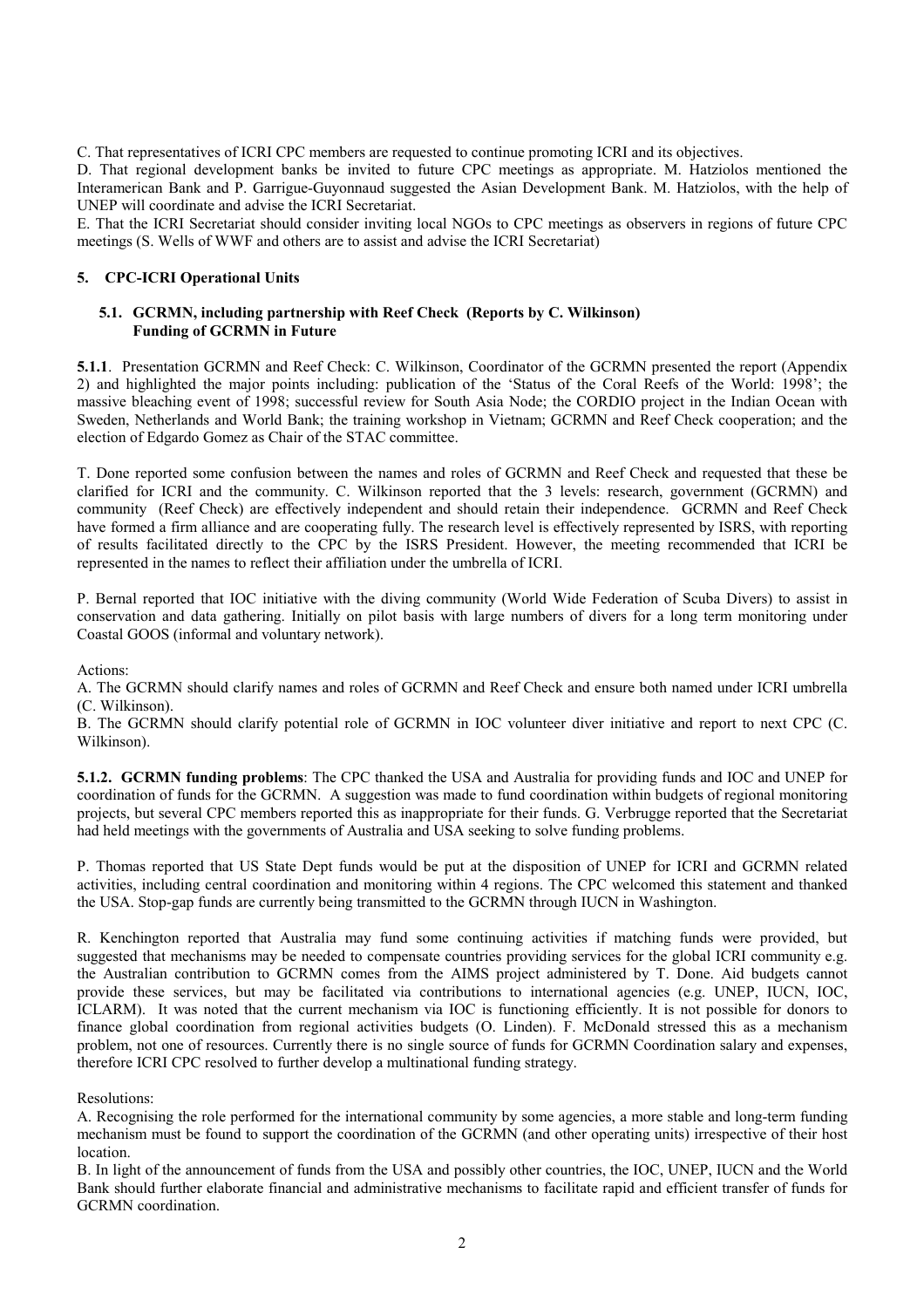C. That representatives of ICRI CPC members are requested to continue promoting ICRI and its objectives.

D. That regional development banks be invited to future CPC meetings as appropriate. M. Hatziolos mentioned the Interamerican Bank and P. Garrigue-Guyonnaud suggested the Asian Development Bank. M. Hatziolos, with the help of UNEP will coordinate and advise the ICRI Secretariat.

E. That the ICRI Secretariat should consider inviting local NGOs to CPC meetings as observers in regions of future CPC meetings (S. Wells of WWF and others are to assist and advise the ICRI Secretariat)

# **5. CPC-ICRI Operational Units**

# **5.1. GCRMN, including partnership with Reef Check (Reports by C. Wilkinson) Funding of GCRMN in Future**

**5.1.1**. Presentation GCRMN and Reef Check: C. Wilkinson, Coordinator of the GCRMN presented the report (Appendix 2) and highlighted the major points including: publication of the 'Status of the Coral Reefs of the World: 1998'; the massive bleaching event of 1998; successful review for South Asia Node; the CORDIO project in the Indian Ocean with Sweden, Netherlands and World Bank; the training workshop in Vietnam; GCRMN and Reef Check cooperation; and the election of Edgardo Gomez as Chair of the STAC committee.

T. Done reported some confusion between the names and roles of GCRMN and Reef Check and requested that these be clarified for ICRI and the community. C. Wilkinson reported that the 3 levels: research, government (GCRMN) and community (Reef Check) are effectively independent and should retain their independence. GCRMN and Reef Check have formed a firm alliance and are cooperating fully. The research level is effectively represented by ISRS, with reporting of results facilitated directly to the CPC by the ISRS President. However, the meeting recommended that ICRI be represented in the names to reflect their affiliation under the umbrella of ICRI.

P. Bernal reported that IOC initiative with the diving community (World Wide Federation of Scuba Divers) to assist in conservation and data gathering. Initially on pilot basis with large numbers of divers for a long term monitoring under Coastal GOOS (informal and voluntary network).

Actions:

A. The GCRMN should clarify names and roles of GCRMN and Reef Check and ensure both named under ICRI umbrella (C. Wilkinson).

B. The GCRMN should clarify potential role of GCRMN in IOC volunteer diver initiative and report to next CPC (C. Wilkinson).

**5.1.2. GCRMN funding problems**: The CPC thanked the USA and Australia for providing funds and IOC and UNEP for coordination of funds for the GCRMN. A suggestion was made to fund coordination within budgets of regional monitoring projects, but several CPC members reported this as inappropriate for their funds. G. Verbrugge reported that the Secretariat had held meetings with the governments of Australia and USA seeking to solve funding problems.

P. Thomas reported that US State Dept funds would be put at the disposition of UNEP for ICRI and GCRMN related activities, including central coordination and monitoring within 4 regions. The CPC welcomed this statement and thanked the USA. Stop-gap funds are currently being transmitted to the GCRMN through IUCN in Washington.

R. Kenchington reported that Australia may fund some continuing activities if matching funds were provided, but suggested that mechanisms may be needed to compensate countries providing services for the global ICRI community e.g. the Australian contribution to GCRMN comes from the AIMS project administered by T. Done. Aid budgets cannot provide these services, but may be facilitated via contributions to international agencies (e.g. UNEP, IUCN, IOC, ICLARM). It was noted that the current mechanism via IOC is functioning efficiently. It is not possible for donors to finance global coordination from regional activities budgets (O. Linden). F. McDonald stressed this as a mechanism problem, not one of resources. Currently there is no single source of funds for GCRMN Coordination salary and expenses, therefore ICRI CPC resolved to further develop a multinational funding strategy.

# Resolutions:

A. Recognising the role performed for the international community by some agencies, a more stable and long-term funding mechanism must be found to support the coordination of the GCRMN (and other operating units) irrespective of their host **location** 

B. In light of the announcement of funds from the USA and possibly other countries, the IOC, UNEP, IUCN and the World Bank should further elaborate financial and administrative mechanisms to facilitate rapid and efficient transfer of funds for GCRMN coordination.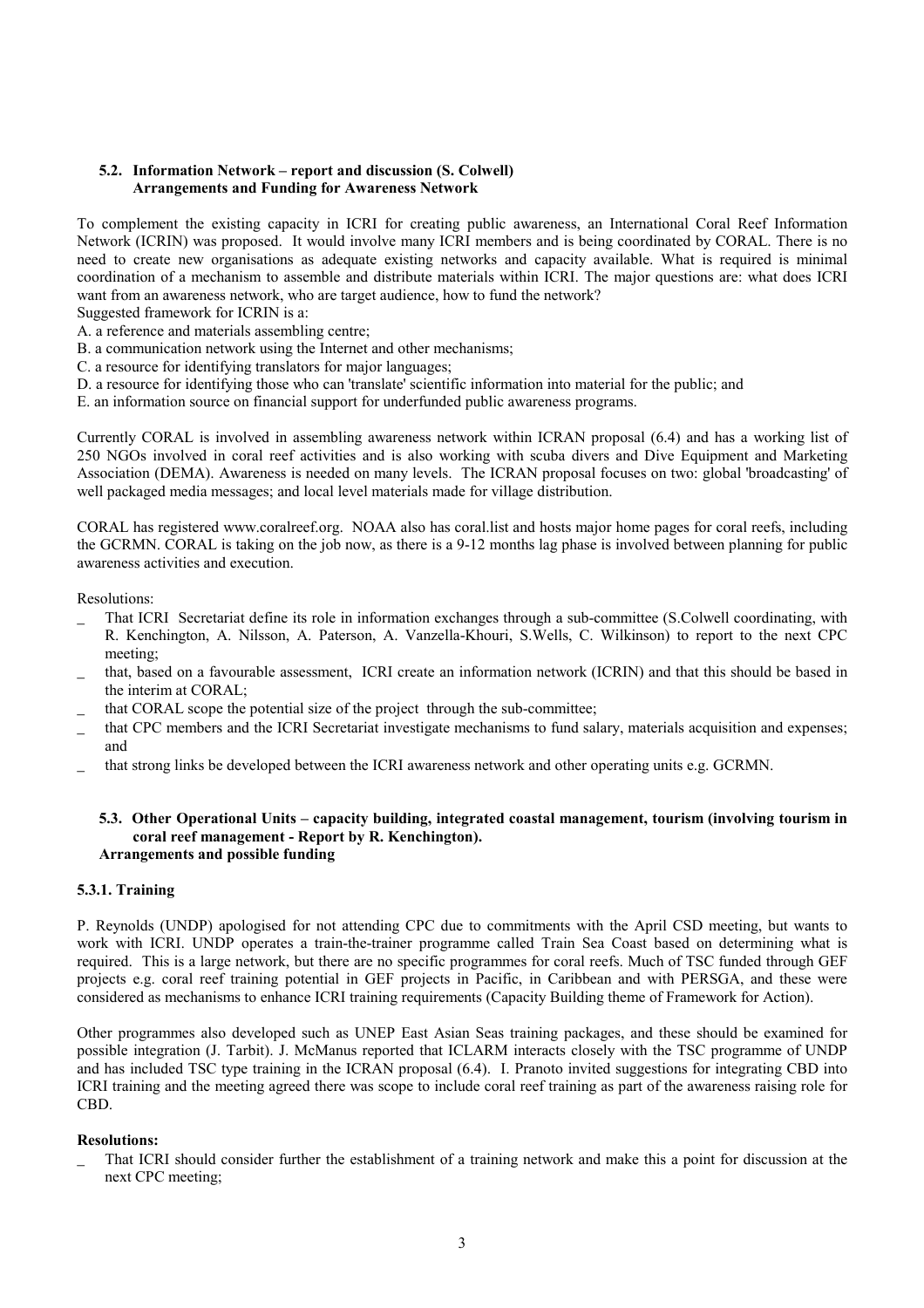# **5.2. Information Network – report and discussion (S. Colwell) Arrangements and Funding for Awareness Network**

To complement the existing capacity in ICRI for creating public awareness, an International Coral Reef Information Network (ICRIN) was proposed. It would involve many ICRI members and is being coordinated by CORAL. There is no need to create new organisations as adequate existing networks and capacity available. What is required is minimal coordination of a mechanism to assemble and distribute materials within ICRI. The major questions are: what does ICRI want from an awareness network, who are target audience, how to fund the network?

Suggested framework for ICRIN is a:

- A. a reference and materials assembling centre;
- B. a communication network using the Internet and other mechanisms;
- C. a resource for identifying translators for major languages;
- D. a resource for identifying those who can 'translate' scientific information into material for the public; and
- E. an information source on financial support for underfunded public awareness programs.

Currently CORAL is involved in assembling awareness network within ICRAN proposal (6.4) and has a working list of 250 NGOs involved in coral reef activities and is also working with scuba divers and Dive Equipment and Marketing Association (DEMA). Awareness is needed on many levels. The ICRAN proposal focuses on two: global 'broadcasting' of well packaged media messages; and local level materials made for village distribution.

CORAL has registered www.coralreef.org. NOAA also has coral.list and hosts major home pages for coral reefs, including the GCRMN. CORAL is taking on the job now, as there is a 9-12 months lag phase is involved between planning for public awareness activities and execution.

Resolutions:

- \_ That ICRI Secretariat define its role in information exchanges through a sub-committee (S.Colwell coordinating, with R. Kenchington, A. Nilsson, A. Paterson, A. Vanzella-Khouri, S.Wells, C. Wilkinson) to report to the next CPC meeting;
- that, based on a favourable assessment, ICRI create an information network (ICRIN) and that this should be based in the interim at CORAL;
- that CORAL scope the potential size of the project through the sub-committee;
- \_ that CPC members and the ICRI Secretariat investigate mechanisms to fund salary, materials acquisition and expenses; and
- that strong links be developed between the ICRI awareness network and other operating units e.g. GCRMN.

#### **5.3. Other Operational Units – capacity building, integrated coastal management, tourism (involving tourism in coral reef management - Report by R. Kenchington). Arrangements and possible funding**

# **5.3.1. Training**

P. Reynolds (UNDP) apologised for not attending CPC due to commitments with the April CSD meeting, but wants to work with ICRI. UNDP operates a train-the-trainer programme called Train Sea Coast based on determining what is required. This is a large network, but there are no specific programmes for coral reefs. Much of TSC funded through GEF projects e.g. coral reef training potential in GEF projects in Pacific, in Caribbean and with PERSGA, and these were considered as mechanisms to enhance ICRI training requirements (Capacity Building theme of Framework for Action).

Other programmes also developed such as UNEP East Asian Seas training packages, and these should be examined for possible integration (J. Tarbit). J. McManus reported that ICLARM interacts closely with the TSC programme of UNDP and has included TSC type training in the ICRAN proposal (6.4). I. Pranoto invited suggestions for integrating CBD into ICRI training and the meeting agreed there was scope to include coral reef training as part of the awareness raising role for CBD.

#### **Resolutions:**

That ICRI should consider further the establishment of a training network and make this a point for discussion at the next CPC meeting;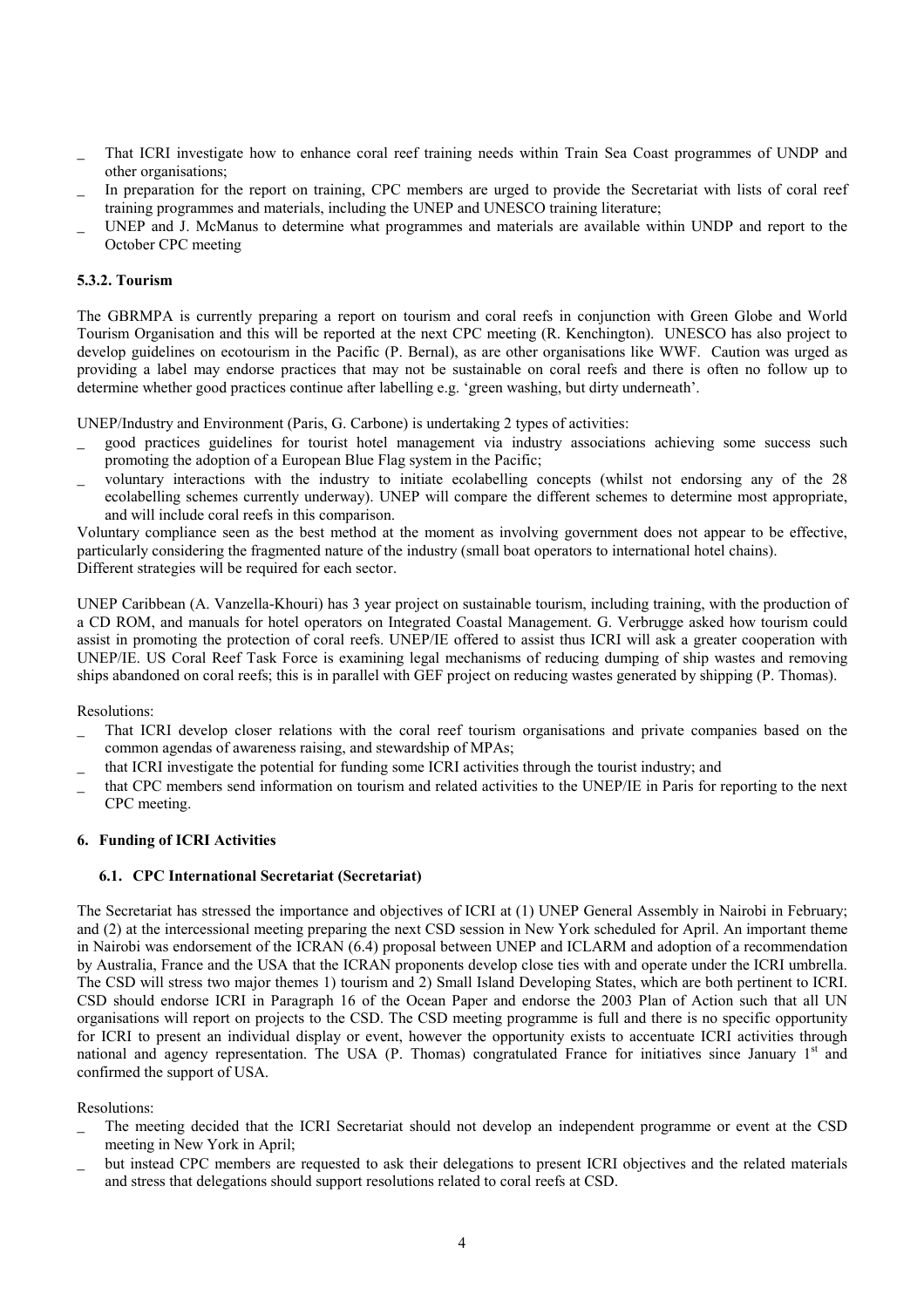- That ICRI investigate how to enhance coral reef training needs within Train Sea Coast programmes of UNDP and other organisations;
- In preparation for the report on training, CPC members are urged to provide the Secretariat with lists of coral reef training programmes and materials, including the UNEP and UNESCO training literature;
- UNEP and J. McManus to determine what programmes and materials are available within UNDP and report to the October CPC meeting

# **5.3.2. Tourism**

The GBRMPA is currently preparing a report on tourism and coral reefs in conjunction with Green Globe and World Tourism Organisation and this will be reported at the next CPC meeting (R. Kenchington). UNESCO has also project to develop guidelines on ecotourism in the Pacific (P. Bernal), as are other organisations like WWF. Caution was urged as providing a label may endorse practices that may not be sustainable on coral reefs and there is often no follow up to determine whether good practices continue after labelling e.g. 'green washing, but dirty underneath'.

UNEP/Industry and Environment (Paris, G. Carbone) is undertaking 2 types of activities:

- \_ good practices guidelines for tourist hotel management via industry associations achieving some success such promoting the adoption of a European Blue Flag system in the Pacific;
- \_ voluntary interactions with the industry to initiate ecolabelling concepts (whilst not endorsing any of the 28 ecolabelling schemes currently underway). UNEP will compare the different schemes to determine most appropriate, and will include coral reefs in this comparison.

Voluntary compliance seen as the best method at the moment as involving government does not appear to be effective, particularly considering the fragmented nature of the industry (small boat operators to international hotel chains). Different strategies will be required for each sector.

UNEP Caribbean (A. Vanzella-Khouri) has 3 year project on sustainable tourism, including training, with the production of a CD ROM, and manuals for hotel operators on Integrated Coastal Management. G. Verbrugge asked how tourism could assist in promoting the protection of coral reefs. UNEP/IE offered to assist thus ICRI will ask a greater cooperation with UNEP/IE. US Coral Reef Task Force is examining legal mechanisms of reducing dumping of ship wastes and removing ships abandoned on coral reefs; this is in parallel with GEF project on reducing wastes generated by shipping (P. Thomas).

Resolutions:

- That ICRI develop closer relations with the coral reef tourism organisations and private companies based on the common agendas of awareness raising, and stewardship of MPAs;
- \_ that ICRI investigate the potential for funding some ICRI activities through the tourist industry; and
- \_ that CPC members send information on tourism and related activities to the UNEP/IE in Paris for reporting to the next CPC meeting.

# **6. Funding of ICRI Activities**

#### **6.1. CPC International Secretariat (Secretariat)**

The Secretariat has stressed the importance and objectives of ICRI at (1) UNEP General Assembly in Nairobi in February; and (2) at the intercessional meeting preparing the next CSD session in New York scheduled for April. An important theme in Nairobi was endorsement of the ICRAN (6.4) proposal between UNEP and ICLARM and adoption of a recommendation by Australia, France and the USA that the ICRAN proponents develop close ties with and operate under the ICRI umbrella. The CSD will stress two major themes 1) tourism and 2) Small Island Developing States, which are both pertinent to ICRI. CSD should endorse ICRI in Paragraph 16 of the Ocean Paper and endorse the 2003 Plan of Action such that all UN organisations will report on projects to the CSD. The CSD meeting programme is full and there is no specific opportunity for ICRI to present an individual display or event, however the opportunity exists to accentuate ICRI activities through national and agency representation. The USA (P. Thomas) congratulated France for initiatives since January 1<sup>st</sup> and confirmed the support of USA.

#### Resolutions:

- \_ The meeting decided that the ICRI Secretariat should not develop an independent programme or event at the CSD meeting in New York in April;
- but instead CPC members are requested to ask their delegations to present ICRI objectives and the related materials and stress that delegations should support resolutions related to coral reefs at CSD.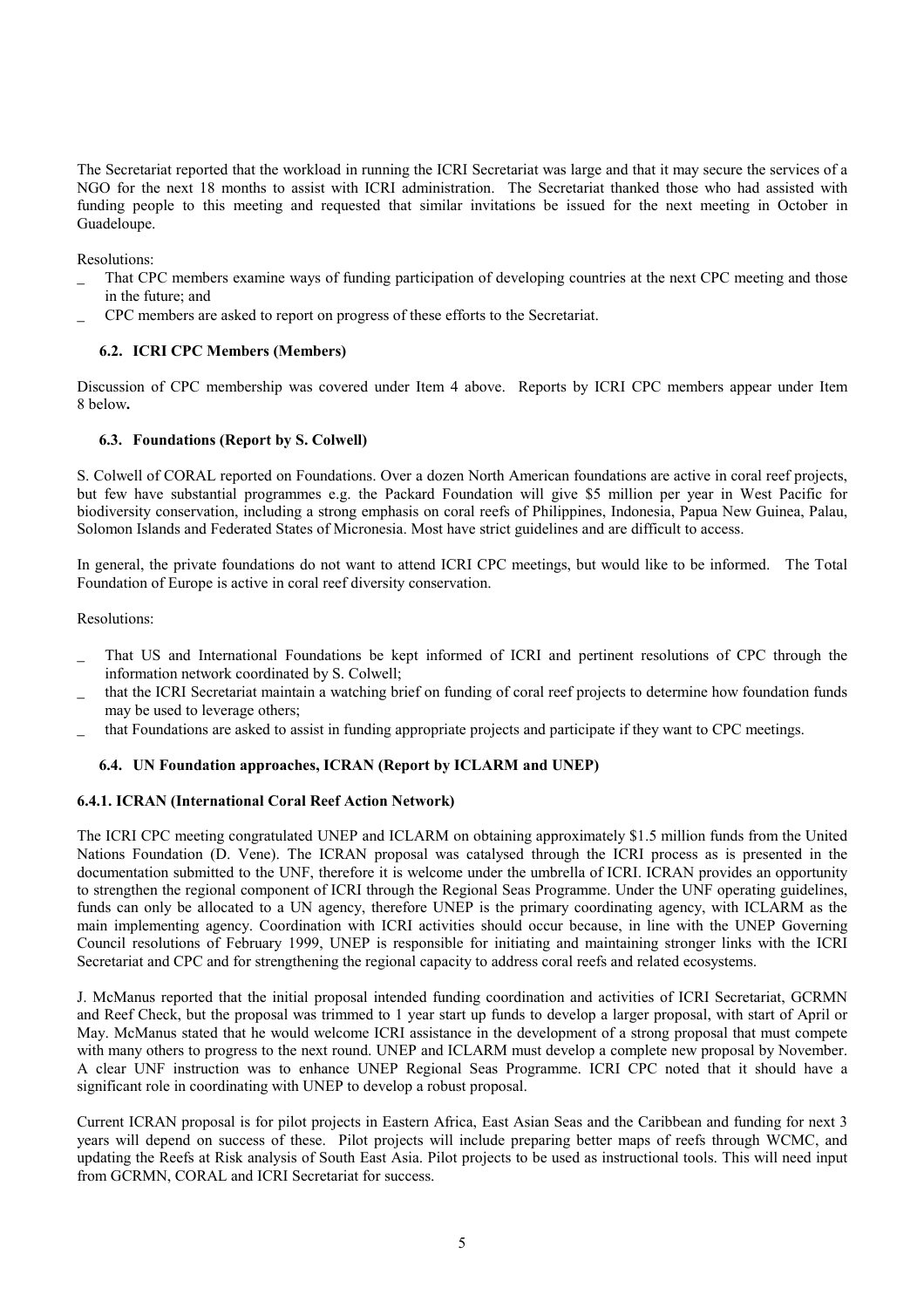The Secretariat reported that the workload in running the ICRI Secretariat was large and that it may secure the services of a NGO for the next 18 months to assist with ICRI administration. The Secretariat thanked those who had assisted with funding people to this meeting and requested that similar invitations be issued for the next meeting in October in Guadeloupe.

Resolutions:

- That CPC members examine ways of funding participation of developing countries at the next CPC meeting and those in the future; and
- \_ CPC members are asked to report on progress of these efforts to the Secretariat.

# **6.2. ICRI CPC Members (Members)**

Discussion of CPC membership was covered under Item 4 above. Reports by ICRI CPC members appear under Item 8 below**.** 

# **6.3. Foundations (Report by S. Colwell)**

S. Colwell of CORAL reported on Foundations. Over a dozen North American foundations are active in coral reef projects, but few have substantial programmes e.g. the Packard Foundation will give \$5 million per year in West Pacific for biodiversity conservation, including a strong emphasis on coral reefs of Philippines, Indonesia, Papua New Guinea, Palau, Solomon Islands and Federated States of Micronesia. Most have strict guidelines and are difficult to access.

In general, the private foundations do not want to attend ICRI CPC meetings, but would like to be informed. The Total Foundation of Europe is active in coral reef diversity conservation.

Resolutions:

- \_ That US and International Foundations be kept informed of ICRI and pertinent resolutions of CPC through the information network coordinated by S. Colwell;
- that the ICRI Secretariat maintain a watching brief on funding of coral reef projects to determine how foundation funds may be used to leverage others;
- \_ that Foundations are asked to assist in funding appropriate projects and participate if they want to CPC meetings.

# **6.4. UN Foundation approaches, ICRAN (Report by ICLARM and UNEP)**

# **6.4.1. ICRAN (International Coral Reef Action Network)**

The ICRI CPC meeting congratulated UNEP and ICLARM on obtaining approximately \$1.5 million funds from the United Nations Foundation (D. Vene). The ICRAN proposal was catalysed through the ICRI process as is presented in the documentation submitted to the UNF, therefore it is welcome under the umbrella of ICRI. ICRAN provides an opportunity to strengthen the regional component of ICRI through the Regional Seas Programme. Under the UNF operating guidelines, funds can only be allocated to a UN agency, therefore UNEP is the primary coordinating agency, with ICLARM as the main implementing agency. Coordination with ICRI activities should occur because, in line with the UNEP Governing Council resolutions of February 1999, UNEP is responsible for initiating and maintaining stronger links with the ICRI Secretariat and CPC and for strengthening the regional capacity to address coral reefs and related ecosystems.

J. McManus reported that the initial proposal intended funding coordination and activities of ICRI Secretariat, GCRMN and Reef Check, but the proposal was trimmed to 1 year start up funds to develop a larger proposal, with start of April or May. McManus stated that he would welcome ICRI assistance in the development of a strong proposal that must compete with many others to progress to the next round. UNEP and ICLARM must develop a complete new proposal by November. A clear UNF instruction was to enhance UNEP Regional Seas Programme. ICRI CPC noted that it should have a significant role in coordinating with UNEP to develop a robust proposal.

Current ICRAN proposal is for pilot projects in Eastern Africa, East Asian Seas and the Caribbean and funding for next 3 years will depend on success of these. Pilot projects will include preparing better maps of reefs through WCMC, and updating the Reefs at Risk analysis of South East Asia. Pilot projects to be used as instructional tools. This will need input from GCRMN, CORAL and ICRI Secretariat for success.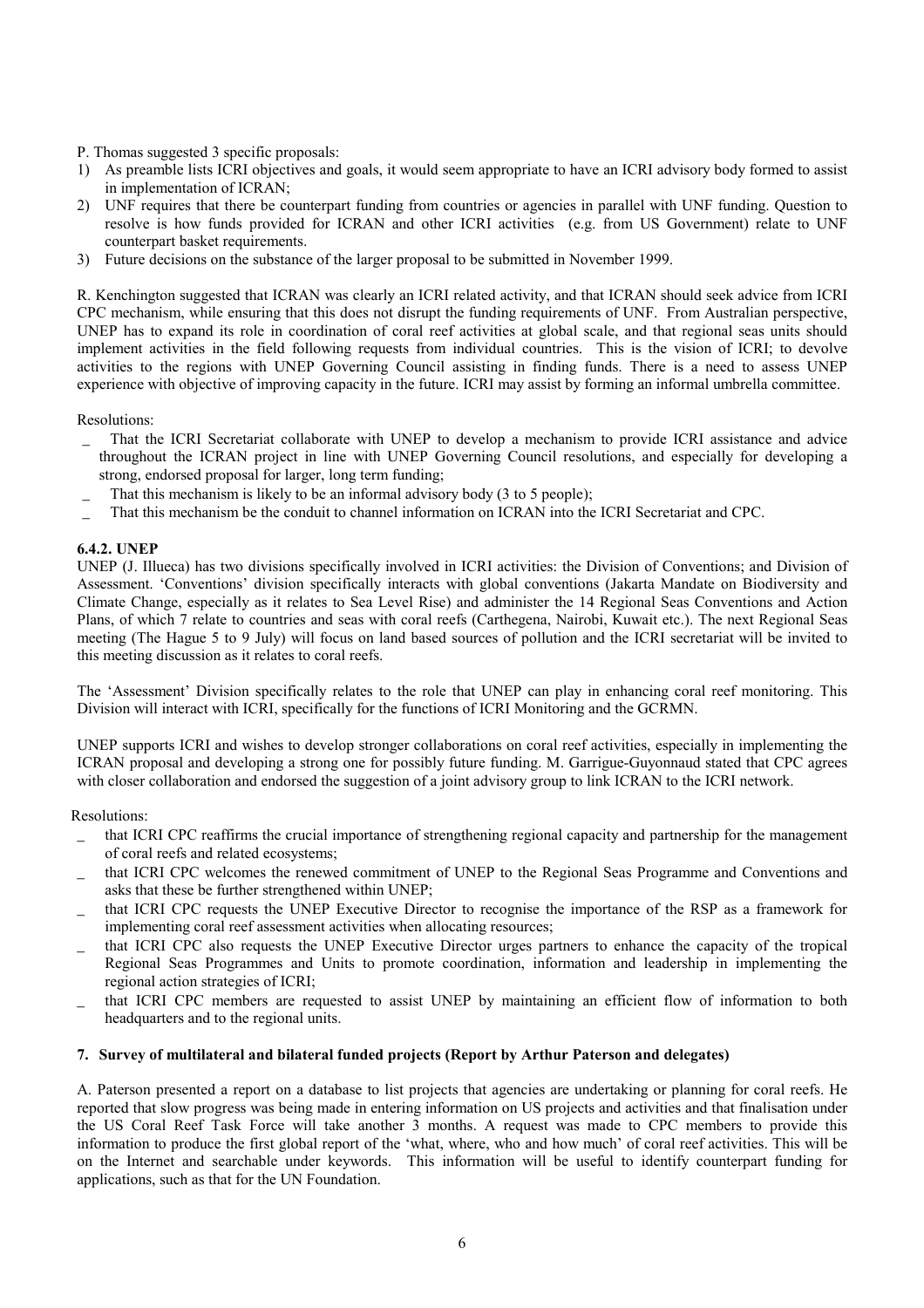# P. Thomas suggested 3 specific proposals:

- 1) As preamble lists ICRI objectives and goals, it would seem appropriate to have an ICRI advisory body formed to assist in implementation of ICRAN;
- 2) UNF requires that there be counterpart funding from countries or agencies in parallel with UNF funding. Question to resolve is how funds provided for ICRAN and other ICRI activities (e.g. from US Government) relate to UNF counterpart basket requirements.
- 3) Future decisions on the substance of the larger proposal to be submitted in November 1999.

R. Kenchington suggested that ICRAN was clearly an ICRI related activity, and that ICRAN should seek advice from ICRI CPC mechanism, while ensuring that this does not disrupt the funding requirements of UNF. From Australian perspective, UNEP has to expand its role in coordination of coral reef activities at global scale, and that regional seas units should implement activities in the field following requests from individual countries. This is the vision of ICRI; to devolve activities to the regions with UNEP Governing Council assisting in finding funds. There is a need to assess UNEP experience with objective of improving capacity in the future. ICRI may assist by forming an informal umbrella committee.

# Resolutions:

- That the ICRI Secretariat collaborate with UNEP to develop a mechanism to provide ICRI assistance and advice throughout the ICRAN project in line with UNEP Governing Council resolutions, and especially for developing a strong, endorsed proposal for larger, long term funding;
- That this mechanism is likely to be an informal advisory body (3 to 5 people);
- \_ That this mechanism be the conduit to channel information on ICRAN into the ICRI Secretariat and CPC.

# **6.4.2. UNEP**

UNEP (J. Illueca) has two divisions specifically involved in ICRI activities: the Division of Conventions; and Division of Assessment. 'Conventions' division specifically interacts with global conventions (Jakarta Mandate on Biodiversity and Climate Change, especially as it relates to Sea Level Rise) and administer the 14 Regional Seas Conventions and Action Plans, of which 7 relate to countries and seas with coral reefs (Carthegena, Nairobi, Kuwait etc.). The next Regional Seas meeting (The Hague 5 to 9 July) will focus on land based sources of pollution and the ICRI secretariat will be invited to this meeting discussion as it relates to coral reefs.

The 'Assessment' Division specifically relates to the role that UNEP can play in enhancing coral reef monitoring. This Division will interact with ICRI, specifically for the functions of ICRI Monitoring and the GCRMN.

UNEP supports ICRI and wishes to develop stronger collaborations on coral reef activities, especially in implementing the ICRAN proposal and developing a strong one for possibly future funding. M. Garrigue-Guyonnaud stated that CPC agrees with closer collaboration and endorsed the suggestion of a joint advisory group to link ICRAN to the ICRI network.

# Resolutions:

- \_ that ICRI CPC reaffirms the crucial importance of strengthening regional capacity and partnership for the management of coral reefs and related ecosystems;
- that ICRI CPC welcomes the renewed commitment of UNEP to the Regional Seas Programme and Conventions and asks that these be further strengthened within UNEP;
- that ICRI CPC requests the UNEP Executive Director to recognise the importance of the RSP as a framework for implementing coral reef assessment activities when allocating resources;
- \_ that ICRI CPC also requests the UNEP Executive Director urges partners to enhance the capacity of the tropical Regional Seas Programmes and Units to promote coordination, information and leadership in implementing the regional action strategies of ICRI;
- that ICRI CPC members are requested to assist UNEP by maintaining an efficient flow of information to both headquarters and to the regional units.

# **7. Survey of multilateral and bilateral funded projects (Report by Arthur Paterson and delegates)**

A. Paterson presented a report on a database to list projects that agencies are undertaking or planning for coral reefs. He reported that slow progress was being made in entering information on US projects and activities and that finalisation under the US Coral Reef Task Force will take another 3 months. A request was made to CPC members to provide this information to produce the first global report of the 'what, where, who and how much' of coral reef activities. This will be on the Internet and searchable under keywords. This information will be useful to identify counterpart funding for applications, such as that for the UN Foundation.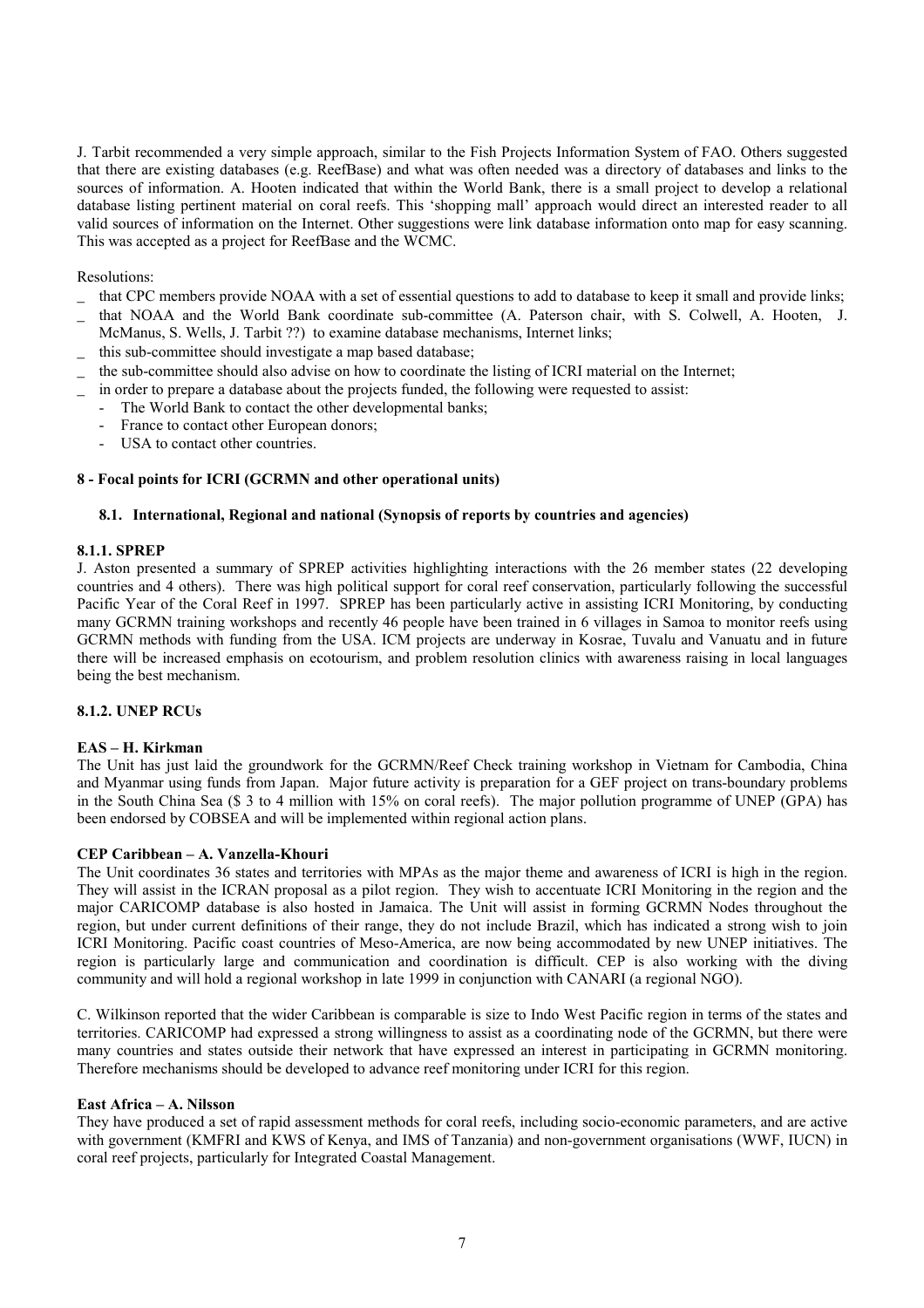J. Tarbit recommended a very simple approach, similar to the Fish Projects Information System of FAO. Others suggested that there are existing databases (e.g. ReefBase) and what was often needed was a directory of databases and links to the sources of information. A. Hooten indicated that within the World Bank, there is a small project to develop a relational database listing pertinent material on coral reefs. This 'shopping mall' approach would direct an interested reader to all valid sources of information on the Internet. Other suggestions were link database information onto map for easy scanning. This was accepted as a project for ReefBase and the WCMC.

#### Resolutions:

- \_ that CPC members provide NOAA with a set of essential questions to add to database to keep it small and provide links;
- \_ that NOAA and the World Bank coordinate sub-committee (A. Paterson chair, with S. Colwell, A. Hooten, J. McManus, S. Wells, J. Tarbit ??) to examine database mechanisms, Internet links;
- this sub-committee should investigate a map based database;
- \_ the sub-committee should also advise on how to coordinate the listing of ICRI material on the Internet;
- in order to prepare a database about the projects funded, the following were requested to assist:
	- The World Bank to contact the other developmental banks;
	- France to contact other European donors;
	- USA to contact other countries.

# **8 - Focal points for ICRI (GCRMN and other operational units)**

#### **8.1. International, Regional and national (Synopsis of reports by countries and agencies)**

#### **8.1.1. SPREP**

J. Aston presented a summary of SPREP activities highlighting interactions with the 26 member states (22 developing countries and 4 others). There was high political support for coral reef conservation, particularly following the successful Pacific Year of the Coral Reef in 1997. SPREP has been particularly active in assisting ICRI Monitoring, by conducting many GCRMN training workshops and recently 46 people have been trained in 6 villages in Samoa to monitor reefs using GCRMN methods with funding from the USA. ICM projects are underway in Kosrae, Tuvalu and Vanuatu and in future there will be increased emphasis on ecotourism, and problem resolution clinics with awareness raising in local languages being the best mechanism.

#### **8.1.2. UNEP RCUs**

# **EAS - H. Kirkman**

The Unit has just laid the groundwork for the GCRMN/Reef Check training workshop in Vietnam for Cambodia, China and Myanmar using funds from Japan. Major future activity is preparation for a GEF project on trans-boundary problems in the South China Sea (\$ 3 to 4 million with 15% on coral reefs). The major pollution programme of UNEP (GPA) has been endorsed by COBSEA and will be implemented within regional action plans.

# **CEP Caribbean – A. Vanzella-Khouri**

The Unit coordinates 36 states and territories with MPAs as the major theme and awareness of ICRI is high in the region. They will assist in the ICRAN proposal as a pilot region. They wish to accentuate ICRI Monitoring in the region and the major CARICOMP database is also hosted in Jamaica. The Unit will assist in forming GCRMN Nodes throughout the region, but under current definitions of their range, they do not include Brazil, which has indicated a strong wish to join ICRI Monitoring. Pacific coast countries of Meso-America, are now being accommodated by new UNEP initiatives. The region is particularly large and communication and coordination is difficult. CEP is also working with the diving community and will hold a regional workshop in late 1999 in conjunction with CANARI (a regional NGO).

C. Wilkinson reported that the wider Caribbean is comparable is size to Indo West Pacific region in terms of the states and territories. CARICOMP had expressed a strong willingness to assist as a coordinating node of the GCRMN, but there were many countries and states outside their network that have expressed an interest in participating in GCRMN monitoring. Therefore mechanisms should be developed to advance reef monitoring under ICRI for this region.

#### **East Africa – A. Nilsson**

They have produced a set of rapid assessment methods for coral reefs, including socio-economic parameters, and are active with government (KMFRI and KWS of Kenya, and IMS of Tanzania) and non-government organisations (WWF, IUCN) in coral reef projects, particularly for Integrated Coastal Management.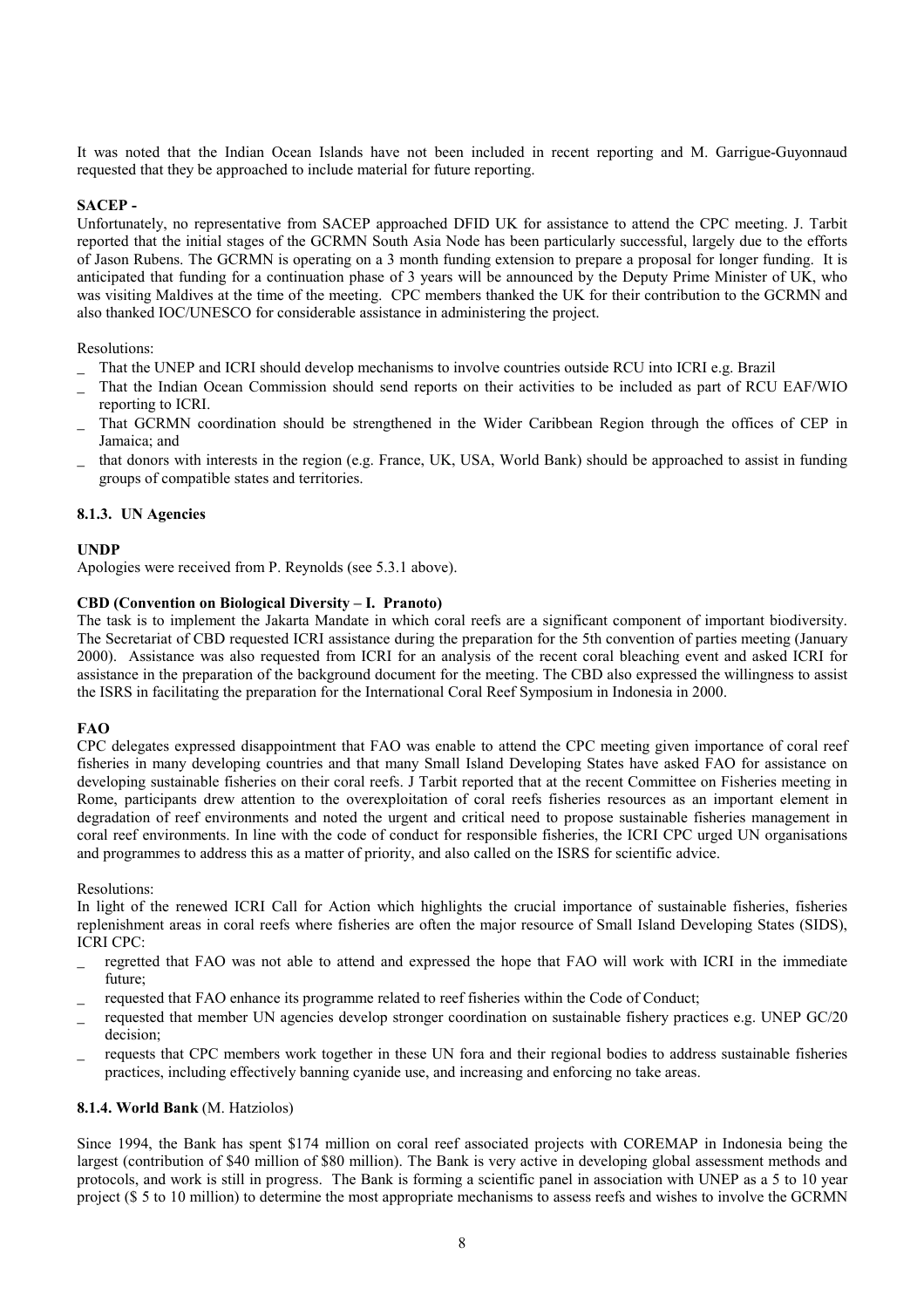It was noted that the Indian Ocean Islands have not been included in recent reporting and M. Garrigue-Guyonnaud requested that they be approached to include material for future reporting.

# **SACEP -**

Unfortunately, no representative from SACEP approached DFID UK for assistance to attend the CPC meeting. J. Tarbit reported that the initial stages of the GCRMN South Asia Node has been particularly successful, largely due to the efforts of Jason Rubens. The GCRMN is operating on a 3 month funding extension to prepare a proposal for longer funding. It is anticipated that funding for a continuation phase of 3 years will be announced by the Deputy Prime Minister of UK, who was visiting Maldives at the time of the meeting. CPC members thanked the UK for their contribution to the GCRMN and also thanked IOC/UNESCO for considerable assistance in administering the project.

# Resolutions:

- That the UNEP and ICRI should develop mechanisms to involve countries outside RCU into ICRI e.g. Brazil
- That the Indian Ocean Commission should send reports on their activities to be included as part of RCU EAF/WIO reporting to ICRI.
- That GCRMN coordination should be strengthened in the Wider Caribbean Region through the offices of CEP in Jamaica; and
- \_ that donors with interests in the region (e.g. France, UK, USA, World Bank) should be approached to assist in funding groups of compatible states and territories.

#### **8.1.3. UN Agencies**

# **UNDP**

Apologies were received from P. Reynolds (see 5.3.1 above).

#### **CBD (Convention on Biological Diversity – I. Pranoto)**

The task is to implement the Jakarta Mandate in which coral reefs are a significant component of important biodiversity. The Secretariat of CBD requested ICRI assistance during the preparation for the 5th convention of parties meeting (January 2000). Assistance was also requested from ICRI for an analysis of the recent coral bleaching event and asked ICRI for assistance in the preparation of the background document for the meeting. The CBD also expressed the willingness to assist the ISRS in facilitating the preparation for the International Coral Reef Symposium in Indonesia in 2000.

# **FAO**

CPC delegates expressed disappointment that FAO was enable to attend the CPC meeting given importance of coral reef fisheries in many developing countries and that many Small Island Developing States have asked FAO for assistance on developing sustainable fisheries on their coral reefs. J Tarbit reported that at the recent Committee on Fisheries meeting in Rome, participants drew attention to the overexploitation of coral reefs fisheries resources as an important element in degradation of reef environments and noted the urgent and critical need to propose sustainable fisheries management in coral reef environments. In line with the code of conduct for responsible fisheries, the ICRI CPC urged UN organisations and programmes to address this as a matter of priority, and also called on the ISRS for scientific advice.

#### Resolutions:

In light of the renewed ICRI Call for Action which highlights the crucial importance of sustainable fisheries, fisheries replenishment areas in coral reefs where fisheries are often the major resource of Small Island Developing States (SIDS), ICRI CPC:

- regretted that FAO was not able to attend and expressed the hope that FAO will work with ICRI in the immediate future;
- requested that FAO enhance its programme related to reef fisheries within the Code of Conduct;
- \_ requested that member UN agencies develop stronger coordination on sustainable fishery practices e.g. UNEP GC/20 decision;
- \_ requests that CPC members work together in these UN fora and their regional bodies to address sustainable fisheries practices, including effectively banning cyanide use, and increasing and enforcing no take areas.

# **8.1.4. World Bank** (M. Hatziolos)

Since 1994, the Bank has spent \$174 million on coral reef associated projects with COREMAP in Indonesia being the largest (contribution of \$40 million of \$80 million). The Bank is very active in developing global assessment methods and protocols, and work is still in progress. The Bank is forming a scientific panel in association with UNEP as a 5 to 10 year project (\$ 5 to 10 million) to determine the most appropriate mechanisms to assess reefs and wishes to involve the GCRMN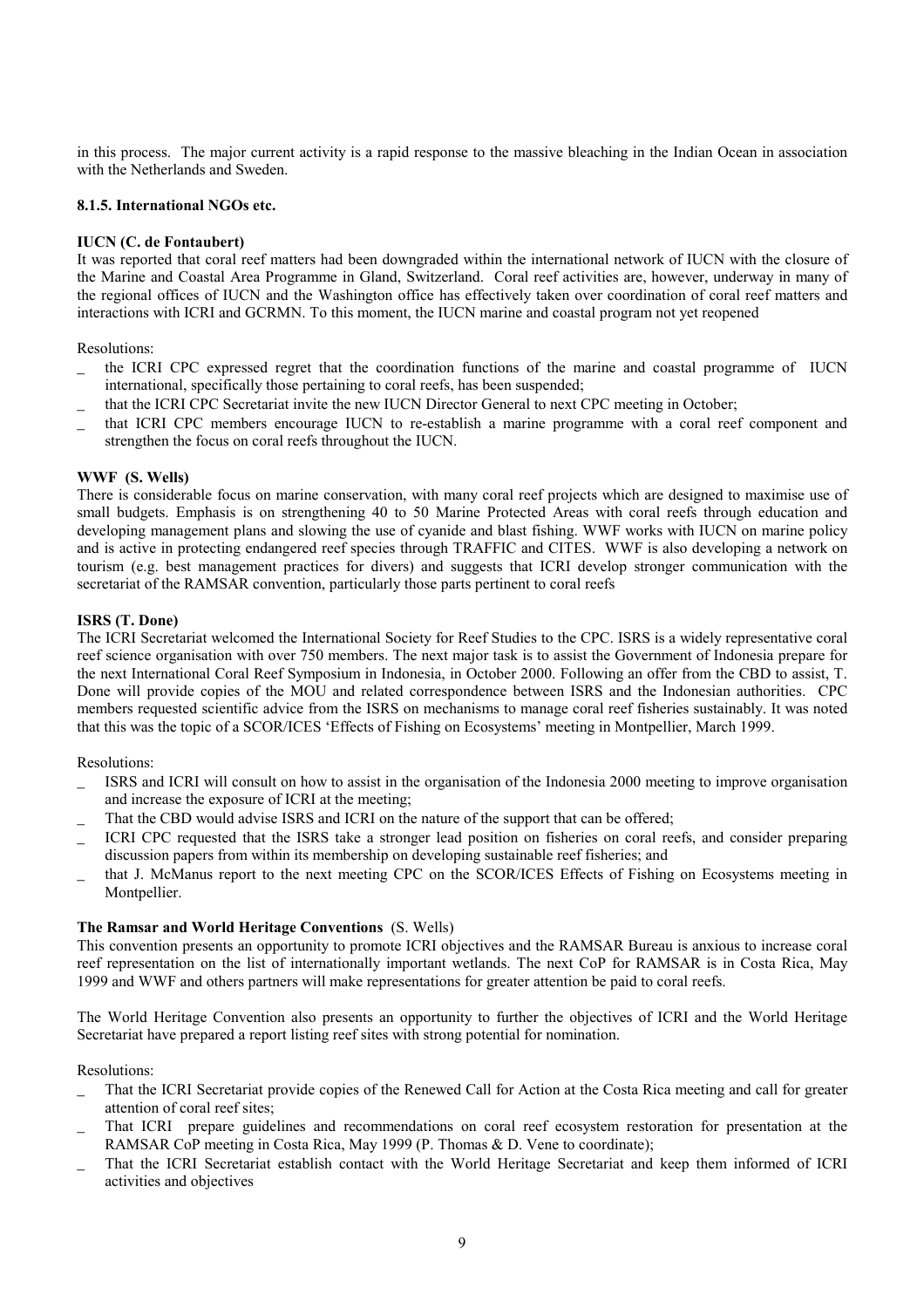in this process. The major current activity is a rapid response to the massive bleaching in the Indian Ocean in association with the Netherlands and Sweden.

# **8.1.5. International NGOs etc.**

# **IUCN (C. de Fontaubert)**

It was reported that coral reef matters had been downgraded within the international network of IUCN with the closure of the Marine and Coastal Area Programme in Gland, Switzerland. Coral reef activities are, however, underway in many of the regional offices of IUCN and the Washington office has effectively taken over coordination of coral reef matters and interactions with ICRI and GCRMN. To this moment, the IUCN marine and coastal program not yet reopened

Resolutions:

- the ICRI CPC expressed regret that the coordination functions of the marine and coastal programme of IUCN international, specifically those pertaining to coral reefs, has been suspended;
- \_ that the ICRI CPC Secretariat invite the new IUCN Director General to next CPC meeting in October;
- that ICRI CPC members encourage IUCN to re-establish a marine programme with a coral reef component and strengthen the focus on coral reefs throughout the IUCN.

# **WWF (S. Wells)**

There is considerable focus on marine conservation, with many coral reef projects which are designed to maximise use of small budgets. Emphasis is on strengthening 40 to 50 Marine Protected Areas with coral reefs through education and developing management plans and slowing the use of cyanide and blast fishing. WWF works with IUCN on marine policy and is active in protecting endangered reef species through TRAFFIC and CITES. WWF is also developing a network on tourism (e.g. best management practices for divers) and suggests that ICRI develop stronger communication with the secretariat of the RAMSAR convention, particularly those parts pertinent to coral reefs

# **ISRS (T. Done)**

The ICRI Secretariat welcomed the International Society for Reef Studies to the CPC. ISRS is a widely representative coral reef science organisation with over 750 members. The next major task is to assist the Government of Indonesia prepare for the next International Coral Reef Symposium in Indonesia, in October 2000. Following an offer from the CBD to assist, T. Done will provide copies of the MOU and related correspondence between ISRS and the Indonesian authorities. CPC members requested scientific advice from the ISRS on mechanisms to manage coral reef fisheries sustainably. It was noted that this was the topic of a SCOR/ICES 'Effects of Fishing on Ecosystems' meeting in Montpellier, March 1999.

# Resolutions:

- ISRS and ICRI will consult on how to assist in the organisation of the Indonesia 2000 meeting to improve organisation and increase the exposure of ICRI at the meeting;
- That the CBD would advise ISRS and ICRI on the nature of the support that can be offered;
- \_ ICRI CPC requested that the ISRS take a stronger lead position on fisheries on coral reefs, and consider preparing discussion papers from within its membership on developing sustainable reef fisheries; and
- that J. McManus report to the next meeting CPC on the SCOR/ICES Effects of Fishing on Ecosystems meeting in Montpellier.

# **The Ramsar and World Heritage Conventions** (S. Wells)

This convention presents an opportunity to promote ICRI objectives and the RAMSAR Bureau is anxious to increase coral reef representation on the list of internationally important wetlands. The next CoP for RAMSAR is in Costa Rica, May 1999 and WWF and others partners will make representations for greater attention be paid to coral reefs.

The World Heritage Convention also presents an opportunity to further the objectives of ICRI and the World Heritage Secretariat have prepared a report listing reef sites with strong potential for nomination.

# Resolutions:

- \_ That the ICRI Secretariat provide copies of the Renewed Call for Action at the Costa Rica meeting and call for greater attention of coral reef sites;
- That ICRI prepare guidelines and recommendations on coral reef ecosystem restoration for presentation at the RAMSAR CoP meeting in Costa Rica, May 1999 (P. Thomas & D. Vene to coordinate);
- That the ICRI Secretariat establish contact with the World Heritage Secretariat and keep them informed of ICRI activities and objectives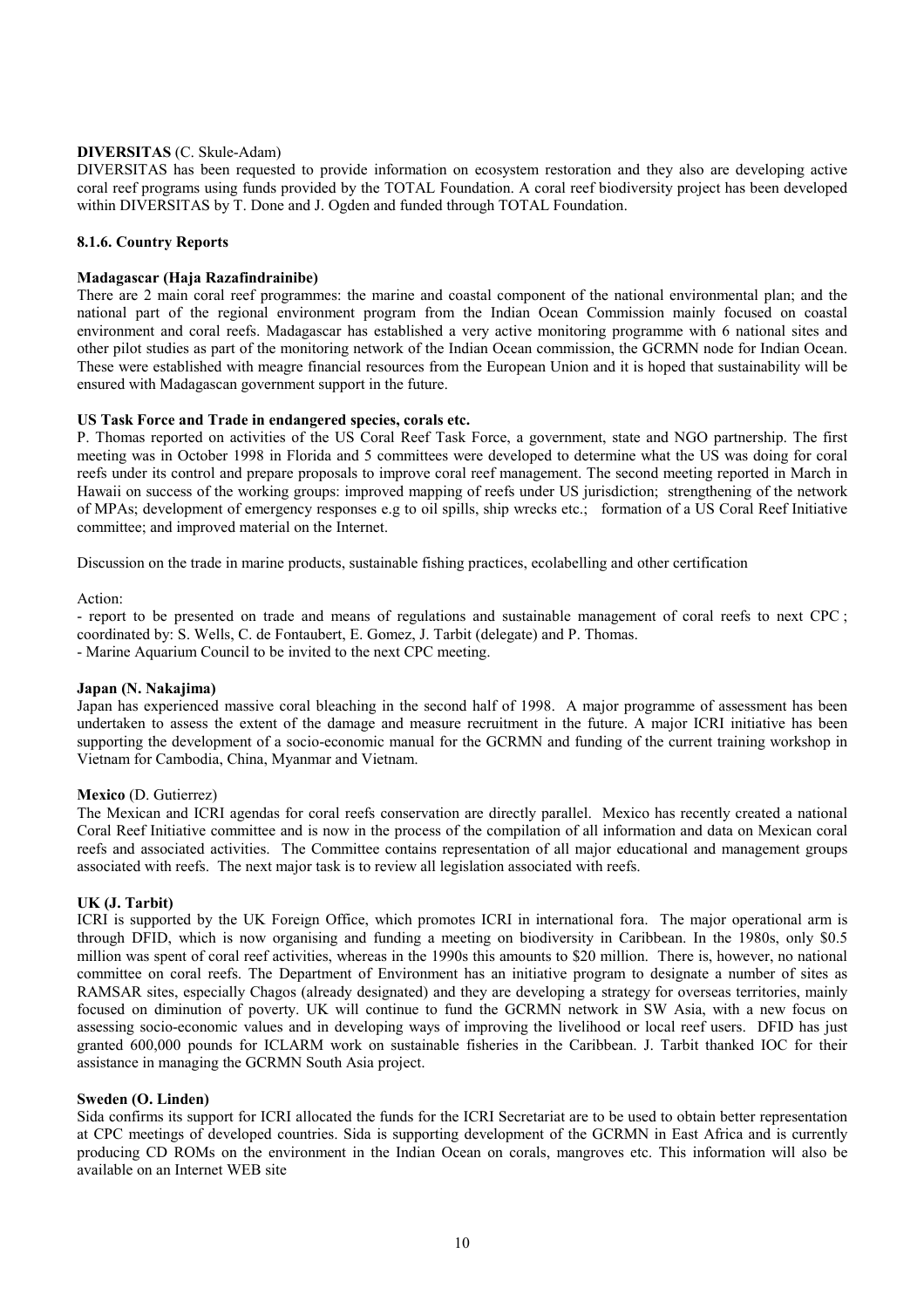#### **DIVERSITAS** (C. Skule-Adam)

DIVERSITAS has been requested to provide information on ecosystem restoration and they also are developing active coral reef programs using funds provided by the TOTAL Foundation. A coral reef biodiversity project has been developed within DIVERSITAS by T. Done and J. Ogden and funded through TOTAL Foundation.

#### **8.1.6. Country Reports**

#### **Madagascar (Haja Razafindrainibe)**

There are 2 main coral reef programmes: the marine and coastal component of the national environmental plan; and the national part of the regional environment program from the Indian Ocean Commission mainly focused on coastal environment and coral reefs. Madagascar has established a very active monitoring programme with 6 national sites and other pilot studies as part of the monitoring network of the Indian Ocean commission, the GCRMN node for Indian Ocean. These were established with meagre financial resources from the European Union and it is hoped that sustainability will be ensured with Madagascan government support in the future.

#### **US Task Force and Trade in endangered species, corals etc.**

P. Thomas reported on activities of the US Coral Reef Task Force, a government, state and NGO partnership. The first meeting was in October 1998 in Florida and 5 committees were developed to determine what the US was doing for coral reefs under its control and prepare proposals to improve coral reef management. The second meeting reported in March in Hawaii on success of the working groups: improved mapping of reefs under US jurisdiction; strengthening of the network of MPAs; development of emergency responses e.g to oil spills, ship wrecks etc.; formation of a US Coral Reef Initiative committee; and improved material on the Internet.

Discussion on the trade in marine products, sustainable fishing practices, ecolabelling and other certification

#### Action:

- report to be presented on trade and means of regulations and sustainable management of coral reefs to next CPC ; coordinated by: S. Wells, C. de Fontaubert, E. Gomez, J. Tarbit (delegate) and P. Thomas. - Marine Aquarium Council to be invited to the next CPC meeting.

#### **Japan (N. Nakajima)**

Japan has experienced massive coral bleaching in the second half of 1998. A major programme of assessment has been undertaken to assess the extent of the damage and measure recruitment in the future. A major ICRI initiative has been supporting the development of a socio-economic manual for the GCRMN and funding of the current training workshop in Vietnam for Cambodia, China, Myanmar and Vietnam.

#### **Mexico** (D. Gutierrez)

The Mexican and ICRI agendas for coral reefs conservation are directly parallel. Mexico has recently created a national Coral Reef Initiative committee and is now in the process of the compilation of all information and data on Mexican coral reefs and associated activities. The Committee contains representation of all major educational and management groups associated with reefs. The next major task is to review all legislation associated with reefs.

#### **UK (J. Tarbit)**

ICRI is supported by the UK Foreign Office, which promotes ICRI in international fora. The major operational arm is through DFID, which is now organising and funding a meeting on biodiversity in Caribbean. In the 1980s, only \$0.5 million was spent of coral reef activities, whereas in the 1990s this amounts to \$20 million. There is, however, no national committee on coral reefs. The Department of Environment has an initiative program to designate a number of sites as RAMSAR sites, especially Chagos (already designated) and they are developing a strategy for overseas territories, mainly focused on diminution of poverty. UK will continue to fund the GCRMN network in SW Asia, with a new focus on assessing socio-economic values and in developing ways of improving the livelihood or local reef users. DFID has just granted 600,000 pounds for ICLARM work on sustainable fisheries in the Caribbean. J. Tarbit thanked IOC for their assistance in managing the GCRMN South Asia project.

#### **Sweden (O. Linden)**

Sida confirms its support for ICRI allocated the funds for the ICRI Secretariat are to be used to obtain better representation at CPC meetings of developed countries. Sida is supporting development of the GCRMN in East Africa and is currently producing CD ROMs on the environment in the Indian Ocean on corals, mangroves etc. This information will also be available on an Internet WEB site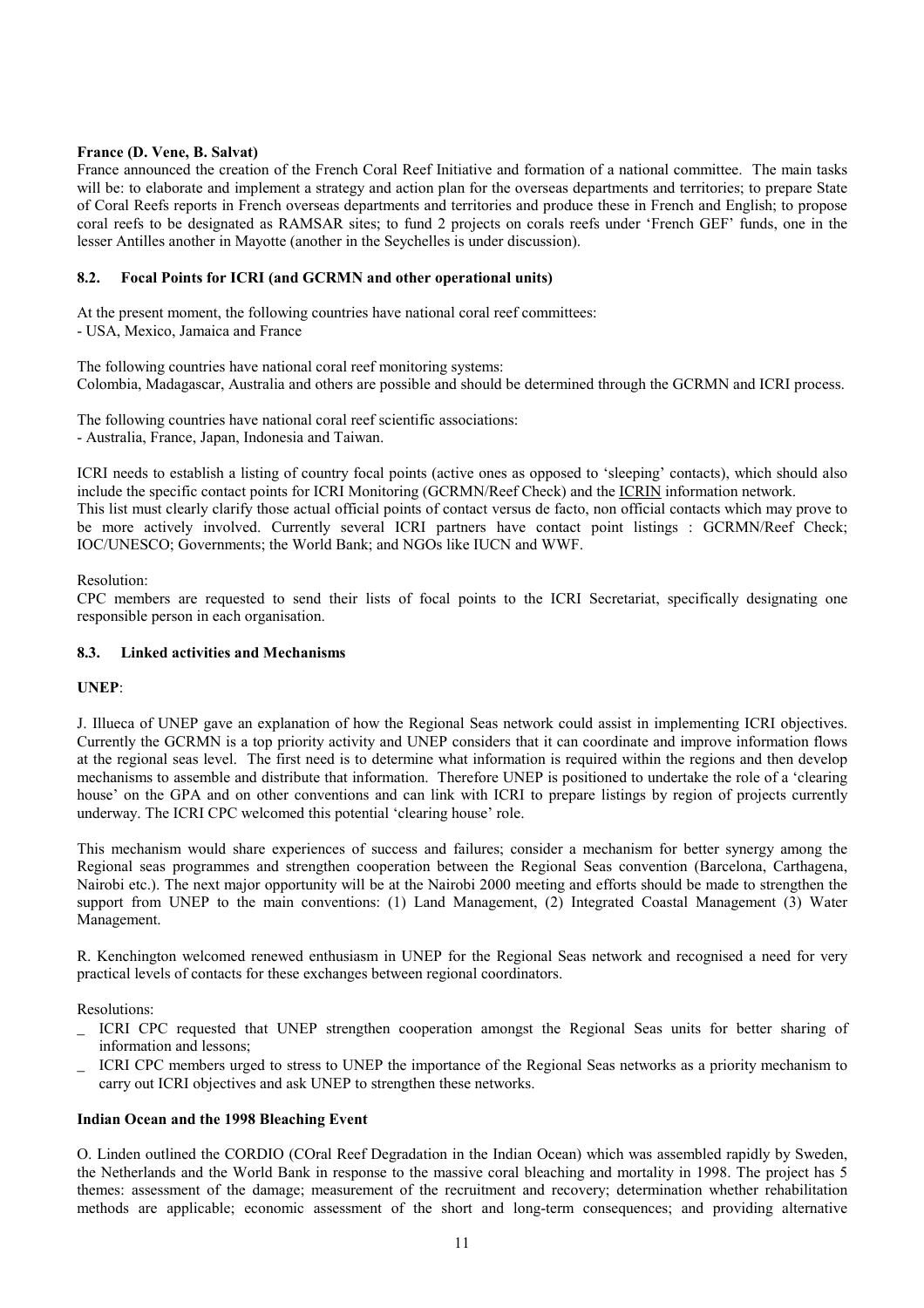# **France (D. Vene, B. Salvat)**

France announced the creation of the French Coral Reef Initiative and formation of a national committee. The main tasks will be: to elaborate and implement a strategy and action plan for the overseas departments and territories; to prepare State of Coral Reefs reports in French overseas departments and territories and produce these in French and English; to propose coral reefs to be designated as RAMSAR sites; to fund 2 projects on corals reefs under 'French GEF' funds, one in the lesser Antilles another in Mayotte (another in the Seychelles is under discussion).

# **8.2. Focal Points for ICRI (and GCRMN and other operational units)**

At the present moment, the following countries have national coral reef committees: - USA, Mexico, Jamaica and France

The following countries have national coral reef monitoring systems: Colombia, Madagascar, Australia and others are possible and should be determined through the GCRMN and ICRI process.

The following countries have national coral reef scientific associations: - Australia, France, Japan, Indonesia and Taiwan.

ICRI needs to establish a listing of country focal points (active ones as opposed to 'sleeping' contacts), which should also include the specific contact points for ICRI Monitoring (GCRMN/Reef Check) and the ICRIN information network. This list must clearly clarify those actual official points of contact versus de facto, non official contacts which may prove to be more actively involved. Currently several ICRI partners have contact point listings : GCRMN/Reef Check; IOC/UNESCO; Governments; the World Bank; and NGOs like IUCN and WWF.

Resolution:

CPC members are requested to send their lists of focal points to the ICRI Secretariat, specifically designating one responsible person in each organisation.

# **8.3. Linked activities and Mechanisms**

# **UNEP**:

J. Illueca of UNEP gave an explanation of how the Regional Seas network could assist in implementing ICRI objectives. Currently the GCRMN is a top priority activity and UNEP considers that it can coordinate and improve information flows at the regional seas level. The first need is to determine what information is required within the regions and then develop mechanisms to assemble and distribute that information. Therefore UNEP is positioned to undertake the role of a ëclearing house' on the GPA and on other conventions and can link with ICRI to prepare listings by region of projects currently underway. The ICRI CPC welcomed this potential 'clearing house' role.

This mechanism would share experiences of success and failures; consider a mechanism for better synergy among the Regional seas programmes and strengthen cooperation between the Regional Seas convention (Barcelona, Carthagena, Nairobi etc.). The next major opportunity will be at the Nairobi 2000 meeting and efforts should be made to strengthen the support from UNEP to the main conventions: (1) Land Management, (2) Integrated Coastal Management (3) Water Management.

R. Kenchington welcomed renewed enthusiasm in UNEP for the Regional Seas network and recognised a need for very practical levels of contacts for these exchanges between regional coordinators.

Resolutions:

- \_ ICRI CPC requested that UNEP strengthen cooperation amongst the Regional Seas units for better sharing of information and lessons;
- \_ ICRI CPC members urged to stress to UNEP the importance of the Regional Seas networks as a priority mechanism to carry out ICRI objectives and ask UNEP to strengthen these networks.

# **Indian Ocean and the 1998 Bleaching Event**

O. Linden outlined the CORDIO (COral Reef Degradation in the Indian Ocean) which was assembled rapidly by Sweden, the Netherlands and the World Bank in response to the massive coral bleaching and mortality in 1998. The project has 5 themes: assessment of the damage; measurement of the recruitment and recovery; determination whether rehabilitation methods are applicable; economic assessment of the short and long-term consequences; and providing alternative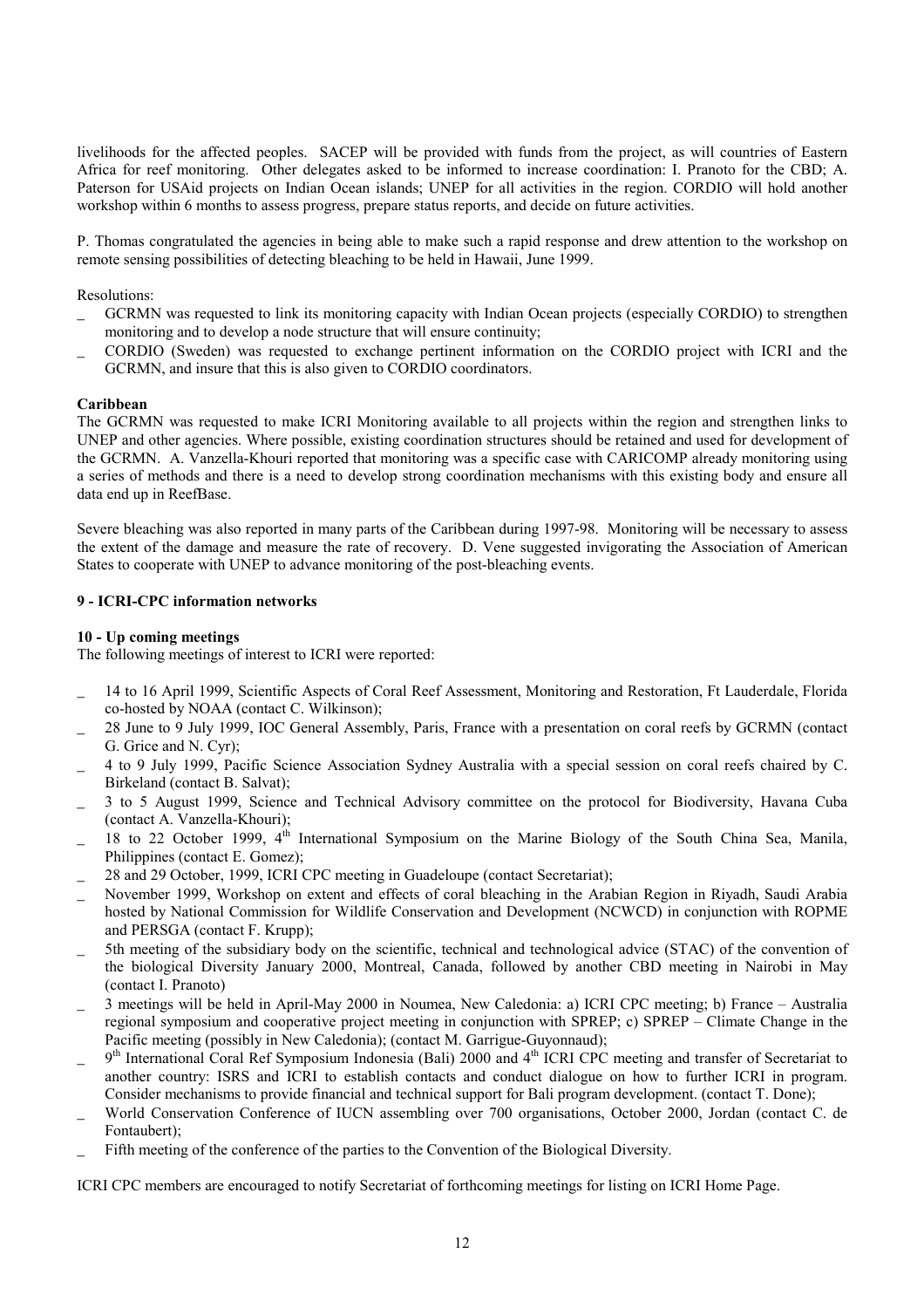livelihoods for the affected peoples. SACEP will be provided with funds from the project, as will countries of Eastern Africa for reef monitoring. Other delegates asked to be informed to increase coordination: I. Pranoto for the CBD; A. Paterson for USAid projects on Indian Ocean islands; UNEP for all activities in the region. CORDIO will hold another workshop within 6 months to assess progress, prepare status reports, and decide on future activities.

P. Thomas congratulated the agencies in being able to make such a rapid response and drew attention to the workshop on remote sensing possibilities of detecting bleaching to be held in Hawaii, June 1999.

Resolutions:

- \_ GCRMN was requested to link its monitoring capacity with Indian Ocean projects (especially CORDIO) to strengthen monitoring and to develop a node structure that will ensure continuity;
- \_ CORDIO (Sweden) was requested to exchange pertinent information on the CORDIO project with ICRI and the GCRMN, and insure that this is also given to CORDIO coordinators.

# **Caribbean**

The GCRMN was requested to make ICRI Monitoring available to all projects within the region and strengthen links to UNEP and other agencies. Where possible, existing coordination structures should be retained and used for development of the GCRMN. A. Vanzella-Khouri reported that monitoring was a specific case with CARICOMP already monitoring using a series of methods and there is a need to develop strong coordination mechanisms with this existing body and ensure all data end up in ReefBase.

Severe bleaching was also reported in many parts of the Caribbean during 1997-98. Monitoring will be necessary to assess the extent of the damage and measure the rate of recovery. D. Vene suggested invigorating the Association of American States to cooperate with UNEP to advance monitoring of the post-bleaching events.

# **9 - ICRI-CPC information networks**

# **10 - Up coming meetings**

The following meetings of interest to ICRI were reported:

- \_ 14 to 16 April 1999, Scientific Aspects of Coral Reef Assessment, Monitoring and Restoration, Ft Lauderdale, Florida co-hosted by NOAA (contact C. Wilkinson);
- \_ 28 June to 9 July 1999, IOC General Assembly, Paris, France with a presentation on coral reefs by GCRMN (contact G. Grice and N. Cyr);
- \_ 4 to 9 July 1999, Pacific Science Association Sydney Australia with a special session on coral reefs chaired by C. Birkeland (contact B. Salvat);
- \_ 3 to 5 August 1999, Science and Technical Advisory committee on the protocol for Biodiversity, Havana Cuba (contact A. Vanzella-Khouri);
- 18 to 22 October 1999, 4<sup>th</sup> International Symposium on the Marine Biology of the South China Sea, Manila, Philippines (contact E. Gomez);
- 28 and 29 October, 1999, ICRI CPC meeting in Guadeloupe (contact Secretariat);
- November 1999, Workshop on extent and effects of coral bleaching in the Arabian Region in Riyadh, Saudi Arabia hosted by National Commission for Wildlife Conservation and Development (NCWCD) in conjunction with ROPME and PERSGA (contact F. Krupp);
- \_ 5th meeting of the subsidiary body on the scientific, technical and technological advice (STAC) of the convention of the biological Diversity January 2000, Montreal, Canada, followed by another CBD meeting in Nairobi in May (contact I. Pranoto)
- 3 meetings will be held in April-May 2000 in Noumea, New Caledonia: a) ICRI CPC meeting; b) France Australia regional symposium and cooperative project meeting in conjunction with SPREP; c) SPREP - Climate Change in the Pacific meeting (possibly in New Caledonia); (contact M. Garrigue-Guyonnaud);
- 9<sup>th</sup> International Coral Ref Symposium Indonesia (Bali) 2000 and 4<sup>th</sup> ICRI CPC meeting and transfer of Secretariat to another country: ISRS and ICRI to establish contacts and conduct dialogue on how to further ICRI in program. Consider mechanisms to provide financial and technical support for Bali program development. (contact T. Done);
- World Conservation Conference of IUCN assembling over 700 organisations, October 2000, Jordan (contact C. de Fontaubert);
- Fifth meeting of the conference of the parties to the Convention of the Biological Diversity.

ICRI CPC members are encouraged to notify Secretariat of forthcoming meetings for listing on ICRI Home Page.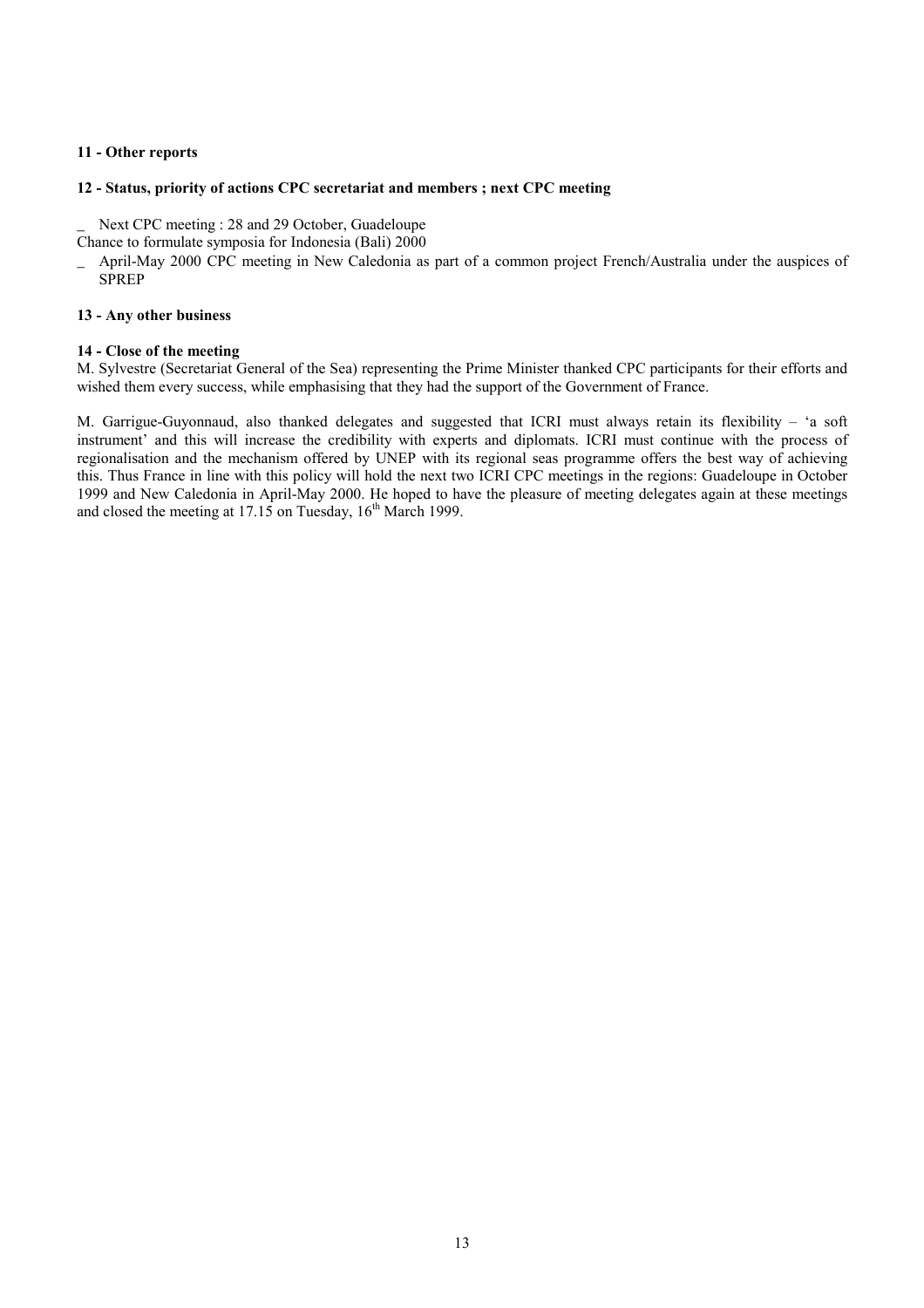# **11 - Other reports**

#### **12 - Status, priority of actions CPC secretariat and members ; next CPC meeting**

Next CPC meeting : 28 and 29 October, Guadeloupe

Chance to formulate symposia for Indonesia (Bali) 2000

\_ April-May 2000 CPC meeting in New Caledonia as part of a common project French/Australia under the auspices of SPREP

#### **13 - Any other business**

#### **14 - Close of the meeting**

M. Sylvestre (Secretariat General of the Sea) representing the Prime Minister thanked CPC participants for their efforts and wished them every success, while emphasising that they had the support of the Government of France.

M. Garrigue-Guyonnaud, also thanked delegates and suggested that ICRI must always retain its flexibility - 'a soft instrument' and this will increase the credibility with experts and diplomats. ICRI must continue with the process of regionalisation and the mechanism offered by UNEP with its regional seas programme offers the best way of achieving this. Thus France in line with this policy will hold the next two ICRI CPC meetings in the regions: Guadeloupe in October 1999 and New Caledonia in April-May 2000. He hoped to have the pleasure of meeting delegates again at these meetings and closed the meeting at  $17.15$  on Tuesday,  $16<sup>th</sup>$  March 1999.